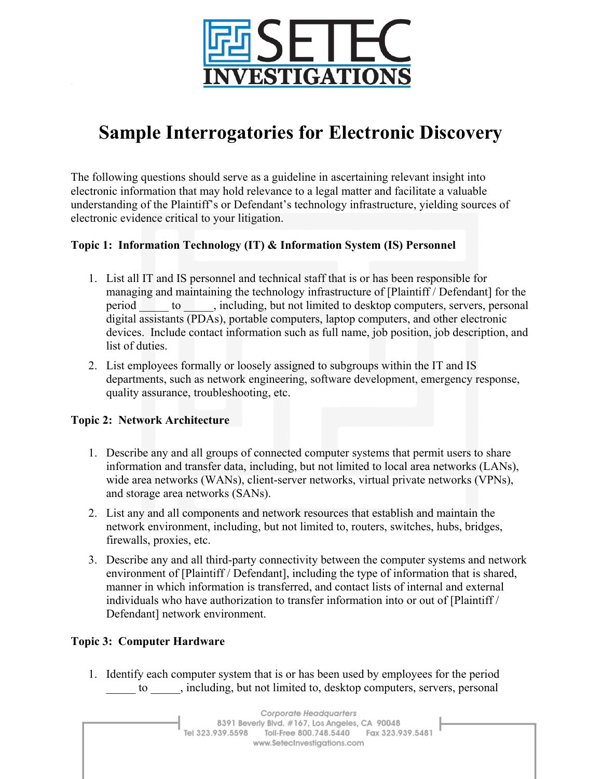

# **Sample Interrogatories for Electronic Discovery**

The following questions should serve as a guideline in ascertaining relevant insight into electronic information that may hold relevance to a legal matter and facilitate a valuable understanding of the Plaintiff's or Defendant's technology infrastructure, yielding sources of electronic evidence critical to your litigation.

# **Topic 1: Information Technology (IT) & Information System (IS) Personnel**

- 1. List all IT and IS personnel and technical staff that is or has been responsible for managing and maintaining the technology infrastructure of [Plaintiff / Defendant] for the period to including, but not limited to desktop computers, servers, personal digital assistants (PDAs), portable computers, laptop computers, and other electronic devices. Include contact information such as full name, job position, job description, and list of duties.
- 2. List employees formally or loosely assigned to subgroups within the IT and IS departments, such as network engineering, software development, emergency response, quality assurance, troubleshooting, etc.

## **Topic 2: Network Architecture**

- 1. Describe any and all groups of connected computer systems that permit users to share information and transfer data, including, but not limited to local area networks (LANs), wide area networks (WANs), client-server networks, virtual private networks (VPNs), and storage area networks (SANs).
- 2. List any and all components and network resources that establish and maintain the network environment, including, but not limited to, routers, switches, hubs, bridges, firewalls, proxies, etc.
- 3. Describe any and all third-party connectivity between the computer systems and network environment of [Plaintiff / Defendant], including the type of information that is shared, manner in which information is transferred, and contact lists of internal and external individuals who have authorization to transfer information into or out of [Plaintiff / Defendant] network environment.

## **Topic 3: Computer Hardware**

1. Identify each computer system that is or has been used by employees for the period to find the including, but not limited to, desktop computers, servers, personal

Corporate Headquarters 8391 Beverly Blvd. #167, Los Angeles, CA 90048 Tel 323.939.5598 Toll-Free 800.748.5440 Fax 323.939.5481 www.SetecInvestigations.com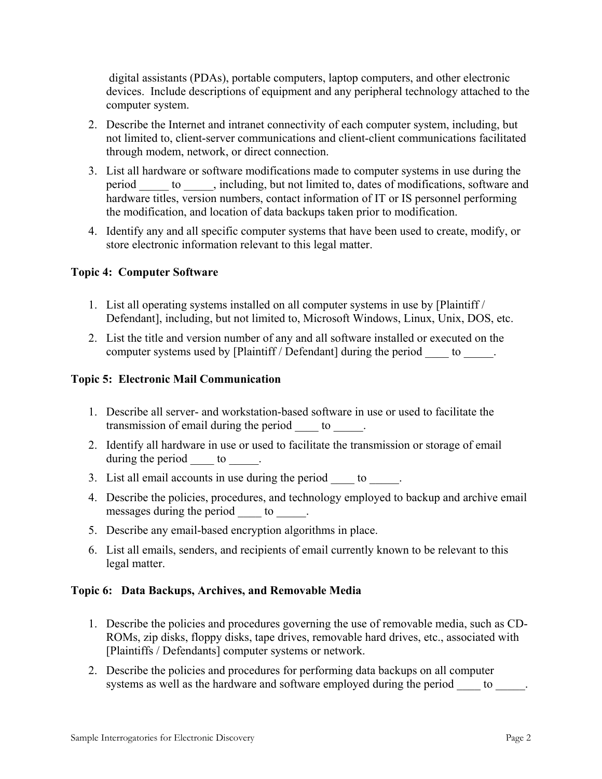digital assistants (PDAs), portable computers, laptop computers, and other electronic devices. Include descriptions of equipment and any peripheral technology attached to the computer system.

- 2. Describe the Internet and intranet connectivity of each computer system, including, but not limited to, client-server communications and client-client communications facilitated through modem, network, or direct connection.
- 3. List all hardware or software modifications made to computer systems in use during the period \_\_\_\_\_\_ to \_\_\_\_\_, including, but not limited to, dates of modifications, software and hardware titles, version numbers, contact information of IT or IS personnel performing the modification, and location of data backups taken prior to modification.
- 4. Identify any and all specific computer systems that have been used to create, modify, or store electronic information relevant to this legal matter.

## **Topic 4: Computer Software**

- 1. List all operating systems installed on all computer systems in use by [Plaintiff / Defendant], including, but not limited to, Microsoft Windows, Linux, Unix, DOS, etc.
- 2. List the title and version number of any and all software installed or executed on the computer systems used by [Plaintiff / Defendant] during the period to  $\qquad$ .

#### **Topic 5: Electronic Mail Communication**

- 1. Describe all server- and workstation-based software in use or used to facilitate the transmission of email during the period \_\_\_\_\_\_ to \_\_\_\_\_.
- 2. Identify all hardware in use or used to facilitate the transmission or storage of email during the period  $\_\_\_$  to  $\_\_\_$ .
- 3. List all email accounts in use during the period to  $\qquad$ .
- 4. Describe the policies, procedures, and technology employed to backup and archive email messages during the period \_\_\_\_\_\_ to \_\_\_\_\_.
- 5. Describe any email-based encryption algorithms in place.
- 6. List all emails, senders, and recipients of email currently known to be relevant to this legal matter.

#### **Topic 6: Data Backups, Archives, and Removable Media**

- 1. Describe the policies and procedures governing the use of removable media, such as CD-ROMs, zip disks, floppy disks, tape drives, removable hard drives, etc., associated with [Plaintiffs / Defendants] computer systems or network.
- 2. Describe the policies and procedures for performing data backups on all computer systems as well as the hardware and software employed during the period to  $\qquad$ .